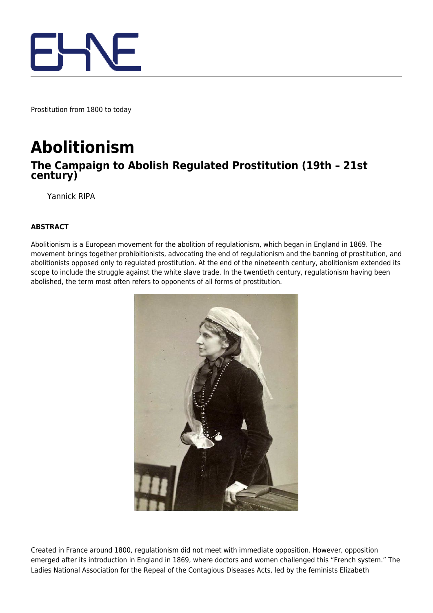

Prostitution from 1800 to today

## **Abolitionism**

## **The Campaign to Abolish Regulated Prostitution (19th – 21st century)**

Yannick RIPA

## **ABSTRACT**

Abolitionism is a European movement for the abolition of regulationism, which began in England in 1869. The movement brings together prohibitionists, advocating the end of regulationism and the banning of prostitution, and abolitionists opposed only to regulated prostitution. At the end of the nineteenth century, abolitionism extended its scope to include the struggle against the white slave trade. In the twentieth century, regulationism having been abolished, the term most often refers to opponents of all forms of prostitution.



Created in France around 1800, regulationism did not meet with immediate opposition. However, opposition emerged after its introduction in England in 1869, where doctors and women challenged this "French system." The Ladies National Association for the Repeal of the Contagious Diseases Acts, led by the feminists Elizabeth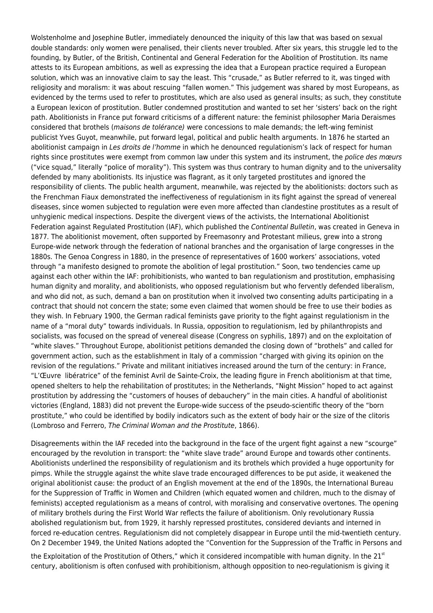Wolstenholme and Josephine Butler, immediately denounced the iniquity of this law that was based on sexual double standards: only women were penalised, their clients never troubled. After six years, this struggle led to the founding, by Butler, of the British, Continental and General Federation for the Abolition of Prostitution. Its name attests to its European ambitions, as well as expressing the idea that a European practice required a European solution, which was an innovative claim to say the least. This "crusade," as Butler referred to it, was tinged with religiosity and moralism: it was about rescuing "fallen women." This judgement was shared by most Europeans, as evidenced by the terms used to refer to prostitutes, which are also used as general insults; as such, they constitute a European lexicon of prostitution. Butler condemned prostitution and wanted to set her 'sisters' back on the right path. Abolitionists in France put forward criticisms of a different nature: the feminist philosopher Maria Deraismes considered that brothels (maisons de tolérance) were concessions to male demands; the left-wing feminist publicist Yves Guyot, meanwhile, put forward legal, political and public health arguments. In 1876 he started an abolitionist campaign in Les droits de l'homme in which he denounced regulationism's lack of respect for human rights since prostitutes were exempt from common law under this system and its instrument, the police des mœurs ("vice squad," literally "police of morality"). This system was thus contrary to human dignity and to the universality defended by many abolitionists. Its injustice was flagrant, as it only targeted prostitutes and ignored the responsibility of clients. The public health argument, meanwhile, was rejected by the abolitionists: doctors such as the Frenchman Fiaux demonstrated the ineffectiveness of regulationism in its fight against the spread of venereal diseases, since women subjected to regulation were even more affected than clandestine prostitutes as a result of unhygienic medical inspections. Despite the divergent views of the activists, the International Abolitionist Federation against Regulated Prostitution (IAF), which published the Continental Bulletin, was created in Geneva in 1877. The abolitionist movement, often supported by Freemasonry and Protestant milieus, grew into a strong Europe-wide network through the federation of national branches and the organisation of large congresses in the 1880s. The Genoa Congress in 1880, in the presence of representatives of 1600 workers' associations, voted through "a manifesto designed to promote the abolition of legal prostitution." Soon, two tendencies came up against each other within the IAF: prohibitionists, who wanted to ban regulationism and prostitution, emphasising human dignity and morality, and abolitionists, who opposed regulationism but who fervently defended liberalism, and who did not, as such, demand a ban on prostitution when it involved two consenting adults participating in a contract that should not concern the state; some even claimed that women should be free to use their bodies as they wish. In February 1900, the German radical feminists gave priority to the fight against regulationism in the name of a "moral duty" towards individuals. In Russia, opposition to regulationism, led by philanthropists and socialists, was focused on the spread of venereal disease (Congress on syphilis, 1897) and on the exploitation of "white slaves." Throughout Europe, abolitionist petitions demanded the closing down of "brothels" and called for government action, such as the establishment in Italy of a commission "charged with giving its opinion on the revision of the regulations." Private and militant initiatives increased around the turn of the century: in France, "L'Œuvre libératrice" of the feminist Avril de Sainte-Croix, the leading figure in French abolitionism at that time, opened shelters to help the rehabilitation of prostitutes; in the Netherlands, "Night Mission" hoped to act against prostitution by addressing the "customers of houses of debauchery" in the main cities. A handful of abolitionist victories (England, 1883) did not prevent the Europe-wide success of the pseudo-scientific theory of the "born prostitute," who could be identified by bodily indicators such as the extent of body hair or the size of the clitoris (Lombroso and Ferrero, The Criminal Woman and the Prostitute, 1866).

Disagreements within the IAF receded into the background in the face of the urgent fight against a new "scourge" encouraged by the revolution in transport: the "white slave trade" around Europe and towards other continents. Abolitionists underlined the responsibility of regulationism and its brothels which provided a huge opportunity for pimps. While the struggle against the white slave trade encouraged differences to be put aside, it weakened the original abolitionist cause: the product of an English movement at the end of the 1890s, the International Bureau for the Suppression of Traffic in Women and Children (which equated women and children, much to the dismay of feminists) accepted regulationism as a means of control, with moralising and conservative overtones. The opening of military brothels during the First World War reflects the failure of abolitionism. Only revolutionary Russia abolished regulationism but, from 1929, it harshly repressed prostitutes, considered deviants and interned in forced re-education centres. Regulationism did not completely disappear in Europe until the mid-twentieth century. On 2 December 1949, the United Nations adopted the "Convention for the Suppression of the Traffic in Persons and

the Exploitation of the Prostitution of Others," which it considered incompatible with human dignity. In the  $21<sup>st</sup>$ century, abolitionism is often confused with prohibitionism, although opposition to neo-regulationism is giving it